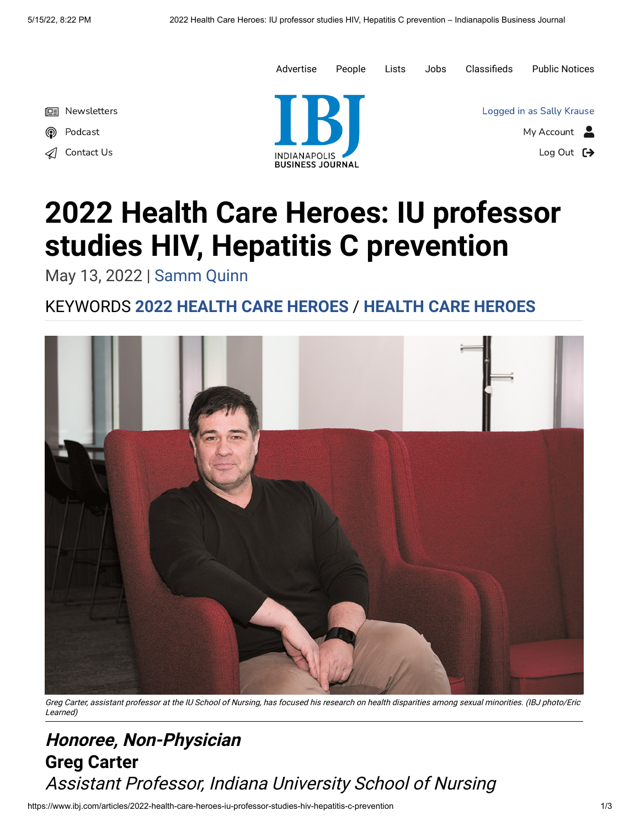

## **2022 Health Care Heroes: IU professor studies HIV, Hepatitis C prevention**

May 13, 2022 | [Samm Quinn](https://www.ibj.com/authors/samm-quinn)

## KEYWORDS **[2022 HEALTH CARE HEROES](https://www.ibj.com/topics/2022-health-care-heroes)** / **[HEALTH CARE HEROES](https://www.ibj.com/topics/health-care-heroes)**



Greg Carter, assistant professor at the IU School of Nursing, has focused his research on health disparities among sexual minorities. (IBJ photo/Eric Learned)

## **Honoree, Non-Physician Greg Carter** Assistant Professor, Indiana University School of Nursing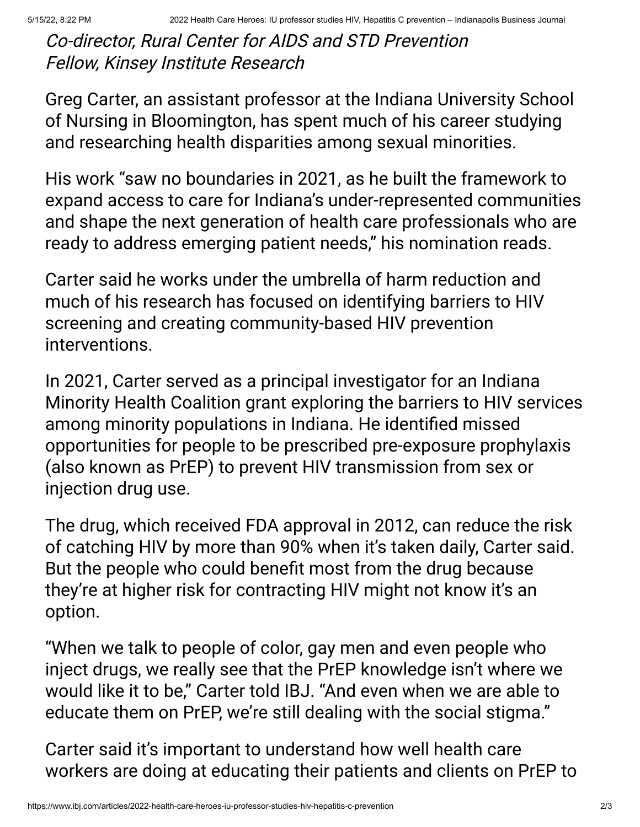Co-director, Rural Center for AIDS and STD Prevention Fellow, Kinsey Institute Research

Greg Carter, an assistant professor at the Indiana University School of Nursing in Bloomington, has spent much of his career studying and researching health disparities among sexual minorities.

His work "saw no boundaries in 2021, as he built the framework to expand access to care for Indiana's under-represented communities and shape the next generation of health care professionals who are ready to address emerging patient needs," his nomination reads.

Carter said he works under the umbrella of harm reduction and much of his research has focused on identifying barriers to HIV screening and creating community-based HIV prevention interventions.

In 2021, Carter served as a principal investigator for an Indiana Minority Health Coalition grant exploring the barriers to HIV services among minority populations in Indiana. He identified missed opportunities for people to be prescribed pre-exposure prophylaxis (also known as PrEP) to prevent HIV transmission from sex or injection drug use.

The drug, which received FDA approval in 2012, can reduce the risk of catching HIV by more than 90% when it's taken daily, Carter said. But the people who could benefit most from the drug because they're at higher risk for contracting HIV might not know it's an option.

"When we talk to people of color, gay men and even people who inject drugs, we really see that the PrEP knowledge isn't where we would like it to be," Carter told IBJ. "And even when we are able to educate them on PrEP, we're still dealing with the social stigma."

Carter said it's important to understand how well health care workers are doing at educating their patients and clients on PrEP to